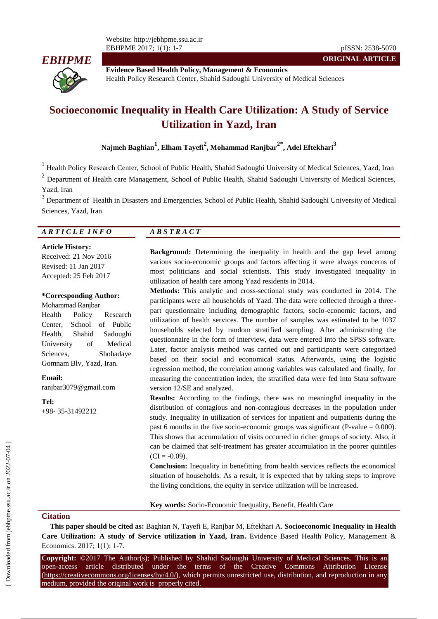

**Evidence Based Health Policy, Management & Economics** Health Policy Research Center, Shahid Sadoughi University of Medical Sciences

# **Socioeconomic Inequality in Health Care Utilization: A Study of Service Utilization in Yazd, Iran**

**Najmeh Baghian<sup>1</sup> , Elham Tayefi<sup>2</sup> , Mohammad Ranjbar2\*, Adel Eftekhari<sup>3</sup>**

<sup>1</sup> Health Policy Research Center, School of Public Health, Shahid Sadoughi University of Medical Sciences, Yazd, Iran

 $2$  Department of Health care Management, School of Public Health, Shahid Sadoughi University of Medical Sciences, Yazd, Iran

<sup>3</sup> Department of Health in Disasters and Emergencies, School of Public Health, Shahid Sadoughi University of Medical Sciences, Yazd, Iran

#### *A R T I C L E I N F O A B S T R A C T*

**Article History:**

Received: 21 Nov 2016 Revised: 11 Jan 2017 Accepted: 25 Feb 2017

#### **\*Corresponding Author:**

Mohammad Ranjbar Health Policy Research Center, School of Public Health, Shahid Sadoughi University of Medical Sciences, Shohadaye Gomnam Blv, Yazd, Iran.

**Email:** ranjbar3079@gmail.com

**Tel:** +98- 35-31492212

**Background:** Determining the inequality in health and the gap level among various socio-economic groups and factors affecting it were always concerns of most politicians and social scientists. This study investigated inequality in utilization of health care among Yazd residents in 2014.

**ORIGINAL ARTICLE**

**Methods:** This analytic and cross-sectional study was conducted in 2014. The participants were all households of Yazd. The data were collected through a threepart questionnaire including demographic factors, socio-economic factors, and utilization of health services. The number of samples was estimated to be 1037 households selected by random stratified sampling. After administrating the questionnaire in the form of interview, data were entered into the SPSS software. Later, factor analysis method was carried out and participants were categorized based on their social and economical status. Afterwards, using the logistic regression method, the correlation among variables was calculated and finally, for measuring the concentration index, the stratified data were fed into Stata software version 12/SE and analyzed.

**Results:** According to the findings, there was no meaningful inequality in the distribution of contagious and non-contagious decreases in the population under study. Inequality in utilization of services for inpatient and outpatients during the past 6 months in the five socio-economic groups was significant (P-value  $= 0.000$ ). This shows that accumulation of visits occurred in richer groups of society. Also, it can be claimed that self-treatment has greater accumulation in the poorer quintiles  $(CI = -0.09)$ .

**Conclusion:** Inequality in benefitting from health services reflects the economical situation of households. As a result, it is expected that by taking steps to improve the living conditions, the equity in service utilization will be increased.

**Key words:** Socio-Economic Inequality, Benefit, Health Care

#### **Citation**

**This paper should be cited as:** Baghian N, Tayefi E, Ranjbar M, Eftekhari A. **Socioeconomic Inequality in Health Care Utilization: A study of Service utilization in Yazd, Iran.** Evidence Based Health Policy, Management & Economics. 2017; 1(1): 1-7.

**Copyright:** ©2017 The Author(s); Published by Shahid Sadoughi University of Medical Sciences. This is an open-access article distributed under the terms of the Creative Commons Attribution License (https://creativecommons.org/licenses/by/4.0/), which permits unrestricted use, distribution, and reproduction in any medium, provided the original work is properly cited.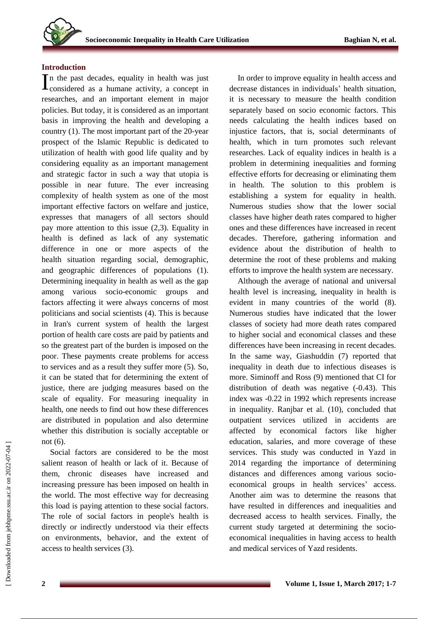# **Introduction**

n the past decades, equality in health was just  $\prod$ n the past decades, equality in health was just<br>considered as a humane activity, a concept in researches, and an important element in major policies. But today, it is considered as an important basis in improving the health and developing a country (1). The most important part of the 20-year prospect of the Islamic Republic is dedicated to utilization of health with good life quality and by considering equality as an important management and strategic factor in such a way that utopia is possible in near future. The ever increasing complexity of health system as one of the most important effective factors on welfare and justice, expresses that managers of all sectors should pay more attention to this issue (2,3). Equality in health is defined as lack of any systematic difference in one or more aspects of the health situation regarding social, demographic, and geographic differences of populations (1). Determining inequality in health as well as the gap among various socio-economic groups and factors affecting it were always concerns of most politicians and social scientists (4). This is because in Iran's current system of health the largest portion of health care costs are paid by patients and so the greatest part of the burden is imposed on the poor. These payments create problems for access to services and as a result they suffer more (5). So, it can be stated that for determining the extent of justice, there are judging measures based on the scale of equality. For measuring inequality in health, one needs to find out how these differences are distributed in population and also determine whether this distribution is socially acceptable or not (6).

Social factors are considered to be the most salient reason of health or lack of it. Because of them, chronic diseases have increased and increasing pressure has been imposed on health in the world. The most effective way for decreasing this load is paying attention to these social factors. The role of social factors in people's health is directly or indirectly understood via their effects on environments, behavior, and the extent of access to health services (3).

In order to improve equality in health access and decrease distances in individuals' health situation, it is necessary to measure the health condition separately based on socio economic factors. This needs calculating the health indices based on injustice factors, that is, social determinants of health, which in turn promotes such relevant researches. Lack of equality indices in health is a problem in determining inequalities and forming effective efforts for decreasing or eliminating them in health. The solution to this problem is establishing a system for equality in health. Numerous studies show that the lower social classes have higher death rates compared to higher ones and these differences have increased in recent decades. Therefore, gathering information and evidence about the distribution of health to determine the root of these problems and making efforts to improve the health system are necessary.

Although the average of national and universal health level is increasing, inequality in health is evident in many countries of the world (8). Numerous studies have indicated that the lower classes of society had more death rates compared to higher social and economical classes and these differences have been increasing in recent decades. In the same way, Giashuddin (7) reported that inequality in death due to infectious diseases is more. Siminoff and Ross (9) mentioned that CI for distribution of death was negative (-0.43). This index was -0.22 in 1992 which represents increase in inequality. Ranjbar et al. (10), concluded that outpatient services utilized in accidents are affected by economical factors like higher education, salaries, and more coverage of these services. This study was conducted in Yazd in 2014 regarding the importance of determining distances and differences among various socioeconomical groups in health services' access. Another aim was to determine the reasons that have resulted in differences and inequalities and decreased access to health services. Finally, the current study targeted at determining the socioeconomical inequalities in having access to health and medical services of Yazd residents.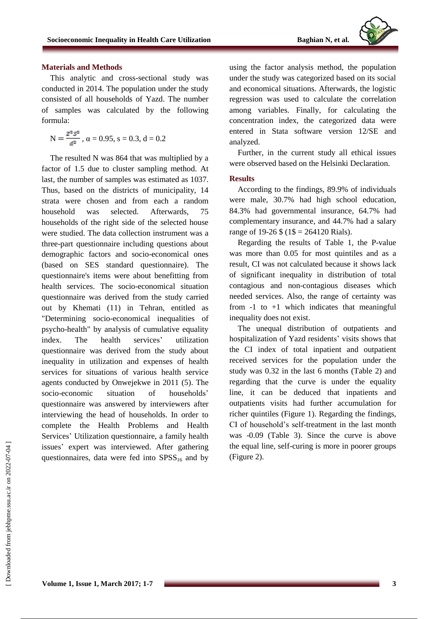

#### **Materials and Methods**

This analytic and cross-sectional study was conducted in 2014. The population under the study consisted of all households of Yazd. The number of samples was calculated by the following formula:

$$
N=\frac{z^2 s^2}{a^2}\ ,\ \alpha=0.95,\ s=0.3,\ d=0.2
$$

The resulted N was 864 that was multiplied by a factor of 1.5 due to cluster sampling method. At last, the number of samples was estimated as 1037. Thus, based on the districts of municipality, 14 strata were chosen and from each a random household was selected. Afterwards, 75 households of the right side of the selected house were studied. The data collection instrument was a three-part questionnaire including questions about demographic factors and socio-economical ones (based on SES standard questionnaire). The questionnaire's items were about benefitting from health services. The socio-economical situation questionnaire was derived from the study carried out by Khemati (11) in Tehran, entitled as "Determining socio-economical inequalities of psycho-health" by analysis of cumulative equality index. The health services' utilization questionnaire was derived from the study about inequality in utilization and expenses of health services for situations of various health service agents conducted by Onwejekwe in 2011 (5). The socio-economic situation of households' questionnaire was answered by interviewers after interviewing the head of households. In order to complete the Health Problems and Health Services' Utilization questionnaire, a family health issues' expert was interviewed. After gathering questionnaires, data were fed into  $SPSS_{16}$  and by

using the factor analysis method, the population under the study was categorized based on its social and economical situations. Afterwards, the logistic regression was used to calculate the correlation among variables. Finally, for calculating the concentration index, the categorized data were entered in Stata software version 12/SE and analyzed.

Further, in the current study all ethical issues were observed based on the Helsinki Declaration.

## **Results**

According to the findings, 89.9% of individuals were male, 30.7% had high school education, 84.3% had governmental insurance, 64.7% had complementary insurance, and 44.7% had a salary range of 19-26  $\frac{1}{2}$  (1\\$ = 264120 Rials).

Regarding the results of Table 1, the P-value was more than 0.05 for most quintiles and as a result, CI was not calculated because it shows lack of significant inequality in distribution of total contagious and non-contagious diseases which needed services. Also, the range of certainty was from  $-1$  to  $+1$  which indicates that meaningful inequality does not exist.

The unequal distribution of outpatients and hospitalization of Yazd residents' visits shows that the CI index of total inpatient and outpatient received services for the population under the study was 0.32 in the last 6 months (Table 2) and regarding that the curve is under the equality line, it can be deduced that inpatients and outpatients visits had further accumulation for richer quintiles (Figure 1). Regarding the findings, CI of household's self-treatment in the last month was -0.09 (Table 3). Since the curve is above the equal line, self-curing is more in poorer groups (Figure 2).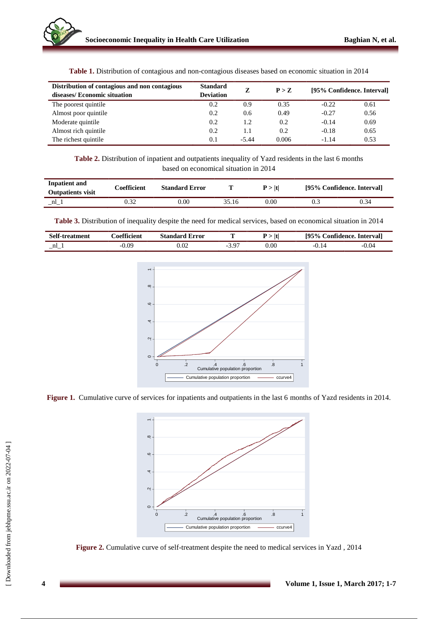| Distribution of contagious and non contagious<br>diseases/ Economic situation | <b>Standard</b><br><b>Deviation</b> | Z             | P > Z | [95% Confidence. Interval] |      |
|-------------------------------------------------------------------------------|-------------------------------------|---------------|-------|----------------------------|------|
| The poorest quintile.                                                         | 0.2                                 | 0.9           | 0.35  | $-0.22$                    | 0.61 |
| Almost poor quintile                                                          | 0.2                                 | $0.6^{\circ}$ | 0.49  | $-0.27$                    | 0.56 |
| Moderate quintile                                                             | 0.2                                 | 1.2           | 0.2   | $-0.14$                    | 0.69 |
| Almost rich quintile                                                          | 0.2                                 | 1.1           | 0.2   | $-0.18$                    | 0.65 |
| The richest quintile                                                          | 0.1                                 | $-5.44$       | 0.006 | $-1.14$                    | 0.53 |

**Table 1.** Distribution of contagious and non-contagious diseases based on economic situation in 2014

**Table 2.** Distribution of inpatient and outpatients inequality of Yazd residents in the last 6 months based on economical situation in 2014

| Inpatient and<br><b>Outpatients visit</b> | Coefficient. | <b>Standard Error</b> |       | $\mathbf{P} > \mathbf{H}$ | [95% Confidence. Interval] |      |
|-------------------------------------------|--------------|-----------------------|-------|---------------------------|----------------------------|------|
| nl                                        |              | 0.00                  | 35.16 | 0.00                      |                            | 0.34 |

**Table 3.** Distribution of inequality despite the need for medical services, based on economical situation in 2014

| <b>Self-treatment</b> | <i>c</i> oefficient | Error<br>Standard | t    | $\mathbf{e}$<br>195%<br>Confidence. Intervall |         |
|-----------------------|---------------------|-------------------|------|-----------------------------------------------|---------|
| $\_nl$                | $-0.09$             | 1.02              | 0.00 |                                               | $-0.04$ |



**Figure 1.** Cumulative curve of services for inpatients and outpatients in the last 6 months of Yazd residents in 2014.



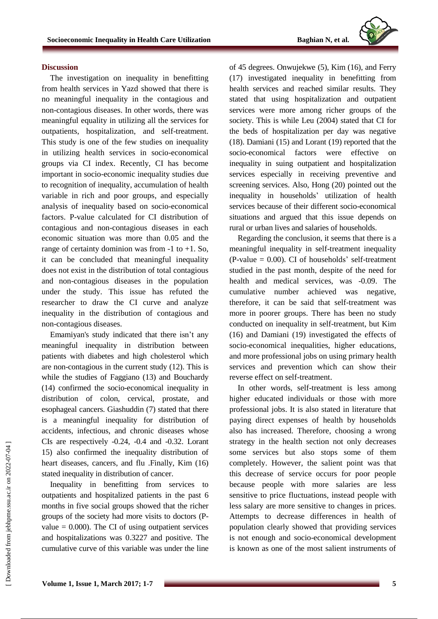

#### **Discussion**

The investigation on inequality in benefitting from health services in Yazd showed that there is no meaningful inequality in the contagious and non-contagious diseases. In other words, there was meaningful equality in utilizing all the services for outpatients, hospitalization, and self-treatment. This study is one of the few studies on inequality in utilizing health services in socio-economical groups via CI index. Recently, CI has become important in socio-economic inequality studies due to recognition of inequality, accumulation of health variable in rich and poor groups, and especially analysis of inequality based on socio-economical factors. P-value calculated for CI distribution of contagious and non-contagious diseases in each economic situation was more than 0.05 and the range of certainty dominion was from  $-1$  to  $+1$ . So, it can be concluded that meaningful inequality does not exist in the distribution of total contagious and non-contagious diseases in the population under the study. This issue has refuted the researcher to draw the CI curve and analyze inequality in the distribution of contagious and non-contagious diseases.

Emamiyan's study indicated that there isn't any meaningful inequality in distribution between patients with diabetes and high cholesterol which are non-contagious in the current study (12). This is while the studies of Faggiano (13) and Bouchardy (14) confirmed the socio-economical inequality in distribution of colon, cervical, prostate, and esophageal cancers. Giashuddin (7) stated that there is a meaningful inequality for distribution of accidents, infectious, and chronic diseases whose CIs are respectively -0.24, -0.4 and -0.32. Lorant 15) also confirmed the inequality distribution of heart diseases, cancers, and flu .Finally, Kim (16) stated inequality in distribution of cancer.

Inequality in benefitting from services to outpatients and hospitalized patients in the past 6 months in five social groups showed that the richer groups of the society had more visits to doctors (Pvalue  $= 0.000$ . The CI of using outpatient services and hospitalizations was 0.3227 and positive. The cumulative curve of this variable was under the line of 45 degrees. Onwujekwe (5), Kim (16), and Ferry (17) investigated inequality in benefitting from health services and reached similar results. They stated that using hospitalization and outpatient services were more among richer groups of the society. This is while Leu (2004) stated that CI for the beds of hospitalization per day was negative (18). Damiani (15) and Lorant (19) reported that the socio-economical factors were effective inequality in suing outpatient and hospitalization services especially in receiving preventive and screening services. Also, Hong (20) pointed out the inequality in households' utilization of health services because of their different socio-economical situations and argued that this issue depends on rural or urban lives and salaries of households.

Regarding the conclusion, it seems that there is a meaningful inequality in self-treatment inequality  $(P-value = 0.00)$ . CI of households' self-treatment studied in the past month, despite of the need for health and medical services, was -0.09. The cumulative number achieved was negative, therefore, it can be said that self-treatment was more in poorer groups. There has been no study conducted on inequality in self-treatment, but Kim (16) and Damiani (19) investigated the effects of socio-economical inequalities, higher educations, and more professional jobs on using primary health services and prevention which can show their reverse effect on self-treatment.

In other words, self-treatment is less among higher educated individuals or those with more professional jobs. It is also stated in literature that paying direct expenses of health by households also has increased. Therefore, choosing a wrong strategy in the health section not only decreases some services but also stops some of them completely. However, the salient point was that this decrease of service occurs for poor people because people with more salaries are less sensitive to price fluctuations, instead people with less salary are more sensitive to changes in prices. Attempts to decrease differences in health of population clearly showed that providing services is not enough and socio-economical development is known as one of the most salient instruments of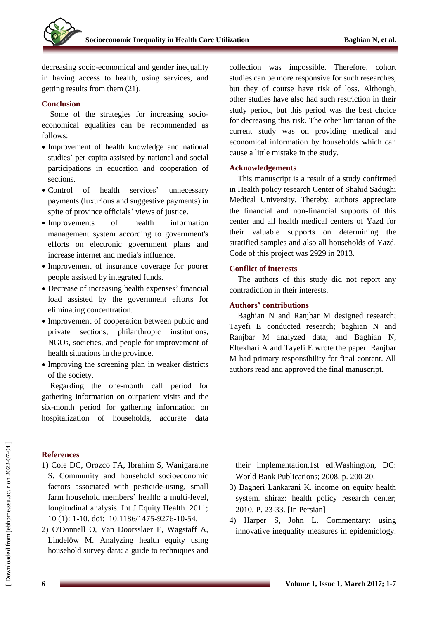decreasing socio-economical and gender inequality in having access to health, using services, and getting results from them (21).

## **Conclusion**

Some of the strategies for increasing socioeconomical equalities can be recommended as follows:

- Improvement of health knowledge and national studies' per capita assisted by national and social participations in education and cooperation of sections.
- Control of health services' unnecessary payments (luxurious and suggestive payments) in spite of province officials' views of justice.
- Improvements of health information management system according to government's efforts on electronic government plans and increase internet and media's influence.
- Improvement of insurance coverage for poorer people assisted by integrated funds.
- Decrease of increasing health expenses' financial load assisted by the government efforts for eliminating concentration.
- Improvement of cooperation between public and private sections, philanthropic institutions, NGOs, societies, and people for improvement of health situations in the province.
- Improving the screening plan in weaker districts of the society.

Regarding the one-month call period for gathering information on outpatient visits and the six-month period for gathering information on hospitalization of households, accurate data

# **References**

1) Cole DC, Orozco FA, Ibrahim S, Wanigaratne S. Community and household socioeconomic factors associated with pesticide-using, small farm household members' health: a multi-level, longitudinal analysis. Int J Equity Health. 2011; 10 (1): 1-10. doi: [10.1186/1475-9276-10-54.](https://dx.doi.org/10.1186%2F1475-9276-10-54)

2) O'Donnell O, Van Doorsslaer E, Wagstaff A, Lindelöw M. Analyzing health equity using household survey data: a guide to techniques and collection was impossible. Therefore, cohort studies can be more responsive for such researches, but they of course have risk of loss. Although, other studies have also had such restriction in their study period, but this period was the best choice for decreasing this risk. The other limitation of the current study was on providing medical and economical information by households which can cause a little mistake in the study.

#### **Acknowledgements**

This manuscript is a result of a study confirmed in Health policy research Center of Shahid Sadughi Medical University. Thereby, authors appreciate the financial and non-financial supports of this center and all health medical centers of Yazd for their valuable supports on determining the stratified samples and also all households of Yazd. Code of this project was 2929 in 2013.

#### **Conflict of interests**

The authors of this study did not report any contradiction in their interests.

# **Authors' contributions**

Baghian N and Ranjbar M designed research; Tayefi E conducted research; baghian N and Ranjbar M analyzed data; and Baghian N, Eftekhari A and Tayefi E wrote the paper. Ranjbar M had primary responsibility for final content. All authors read and approved the final manuscript.

their implementation.1st ed.Washington, DC: World Bank Publications; 2008. p. 200-20.

- 3) Bagheri Lankarani K. income on equity health system. shiraz: health policy research center; 2010. P. 23-33. [In Persian]
- 4) Harper S, John L. Commentary: using innovative inequality measures in epidemiology.